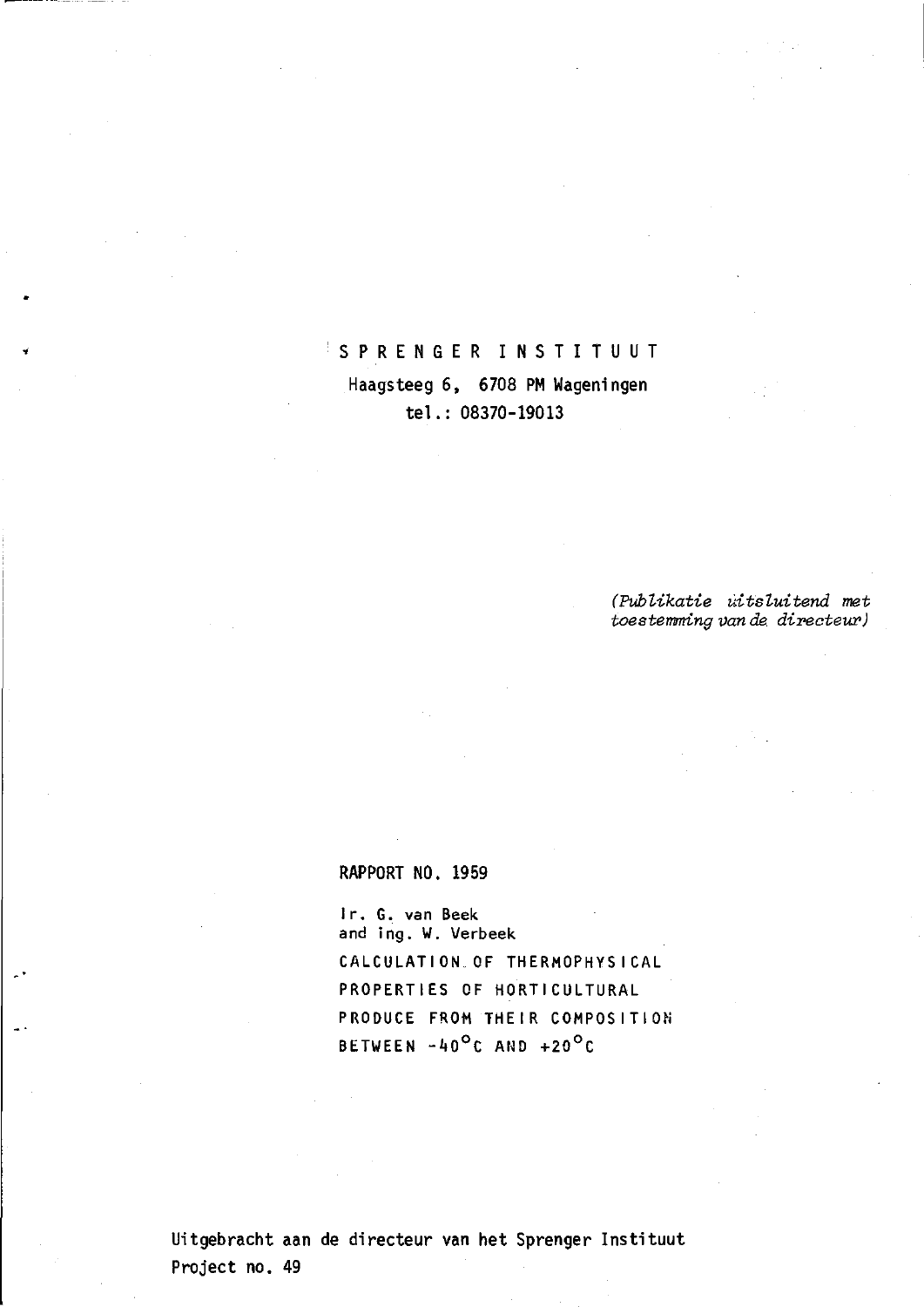# SPRENGER INSTITUUT Haagsteeg 6, 6708 PM Wageningen tel. : 08370-19013

*(Publikatie uitsluitend met toestemming van da directeur)* 

## RAPPORT NO. 1959

Ir. G. van Beek and ing. W. Verbeek CALCULATION OF THERMOPHYSI CAL PROPERTIES OF HORTICULTURAL PRODUCE FROM THEIR COMPOSITION BETWEEN  $-40^{\circ}$ C AND  $+20^{\circ}$ C

Uitgebracht aan de directeur van het Sprenger Instituut Project no. 49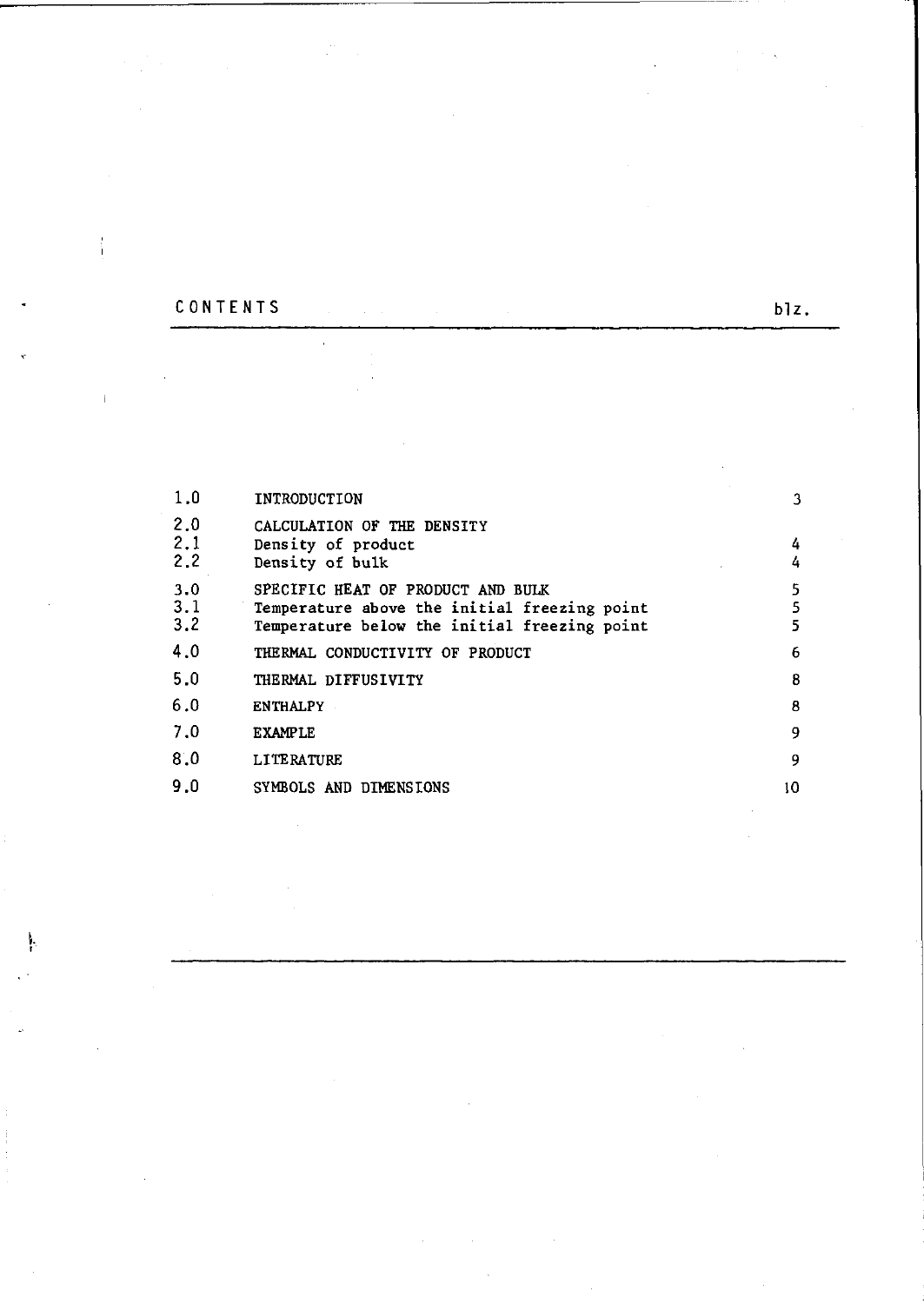# CONTENTS blz.

 $\bar{\beta}$ 

 $\lambda \sim 10^4$ 

 $\frac{1}{1}$ 

 $\bar{1}$ 

 $\frac{1}{2} \sum_{i=1}^{2} \frac{1}{2} \sum_{j=1}^{2} \frac{1}{2}$ 

 $\hat{\mathcal{A}}$ 

| 1.0        | INTRODUCTION                                     | 3  |
|------------|--------------------------------------------------|----|
| 2.0<br>2.1 | CALCULATION OF THE DENSITY<br>Density of product | 4  |
| 2.2        | Density of bulk                                  | 4  |
| 3.0        | SPECIFIC HEAT OF PRODUCT AND BULK                | 5  |
| 3.1        | Temperature above the initial freezing point     | 5  |
| 3,2        | Temperature below the initial freezing point     |    |
| 4.0        | THERMAL CONDUCTIVITY OF PRODUCT                  | 6  |
| 5.0        | THERMAL DIFFUSIVITY                              | 8  |
| 6.0        | <b>ENTHALPY</b>                                  | 8  |
| 7.0        | <b>EXAMPLE</b>                                   | 9  |
| 8.0        | <b>LITERATURE</b>                                | 9  |
| 9.0        | SYMBOLS AND DIMENSIONS                           | 10 |

 $\bar{\gamma}$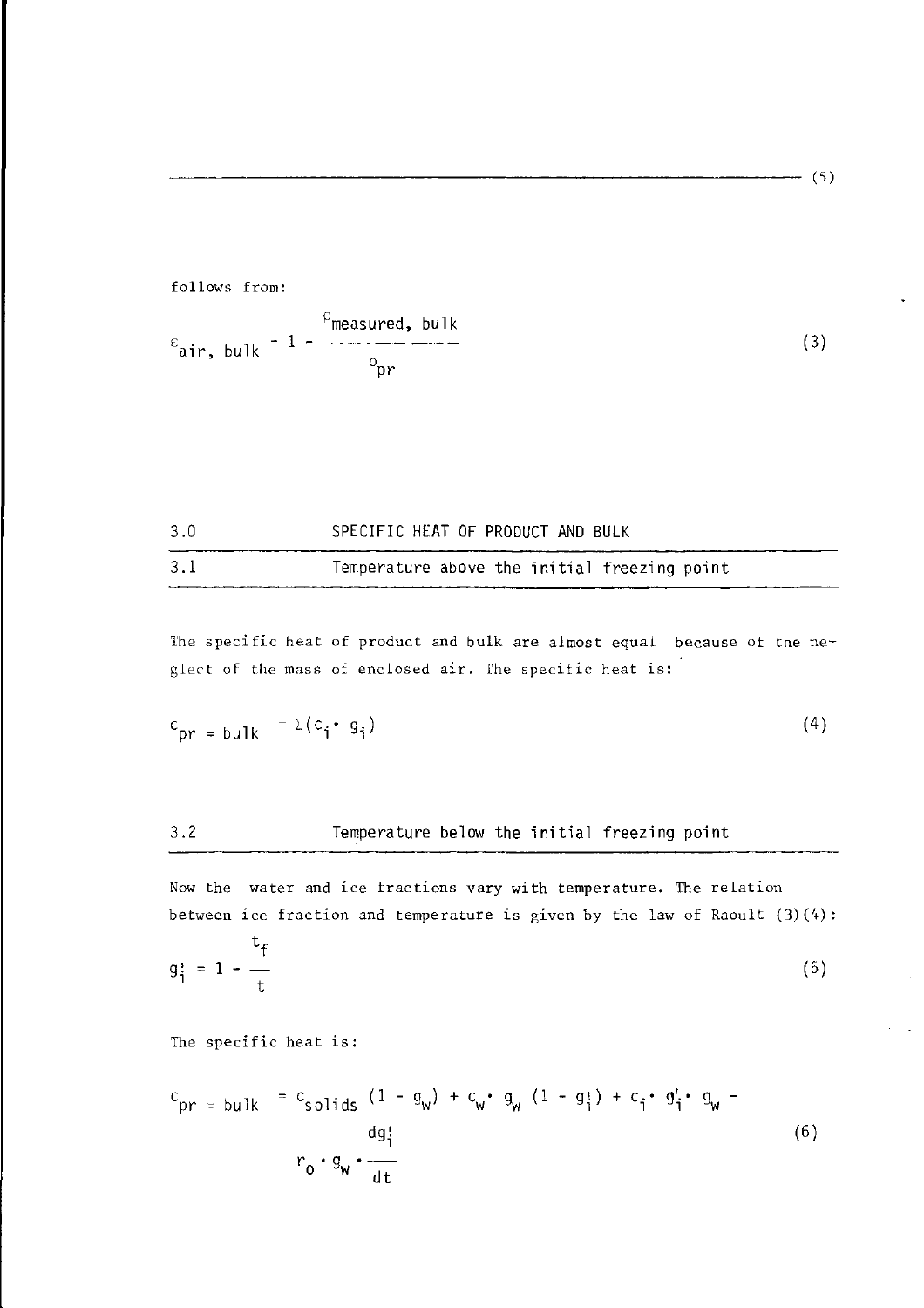$- (5)$ 

follows from:  
\n
$$
\varepsilon_{\text{air, bulk}} = 1 - \frac{\rho_{\text{measured, bulk}}}{\rho_{\text{pr}}}
$$
\n(3)

| 3.1<br>Temperature above the initial freezing point |  |
|-----------------------------------------------------|--|

The specific heat of product and bulk are almost equal because of the neglect of the mass of enclosed air. The specific heat is:

$$
c_{pr} = \text{bulk} = \Sigma (c_i \cdot g_i) \tag{4}
$$

## 3.2 Temperature below the initial freezing point

Now the water and ice fractions vary with temperature. The relation between ice fraction and temperature is given by the law of Raoult  $(3)(4)$ :

$$
g_{\mathbf{i}}^* = 1 - \frac{t_f}{t}
$$
 (5)

The specific heat is :

$$
c_{pr} = \text{bulk} = c_{\text{solids}} (1 - g_w) + c_w \cdot g_w (1 - g_i) + c_i \cdot g_i' \cdot g_w - \frac{dg_i'}{r_0 \cdot g_w \cdot \frac{d}{dt}}
$$
 (6)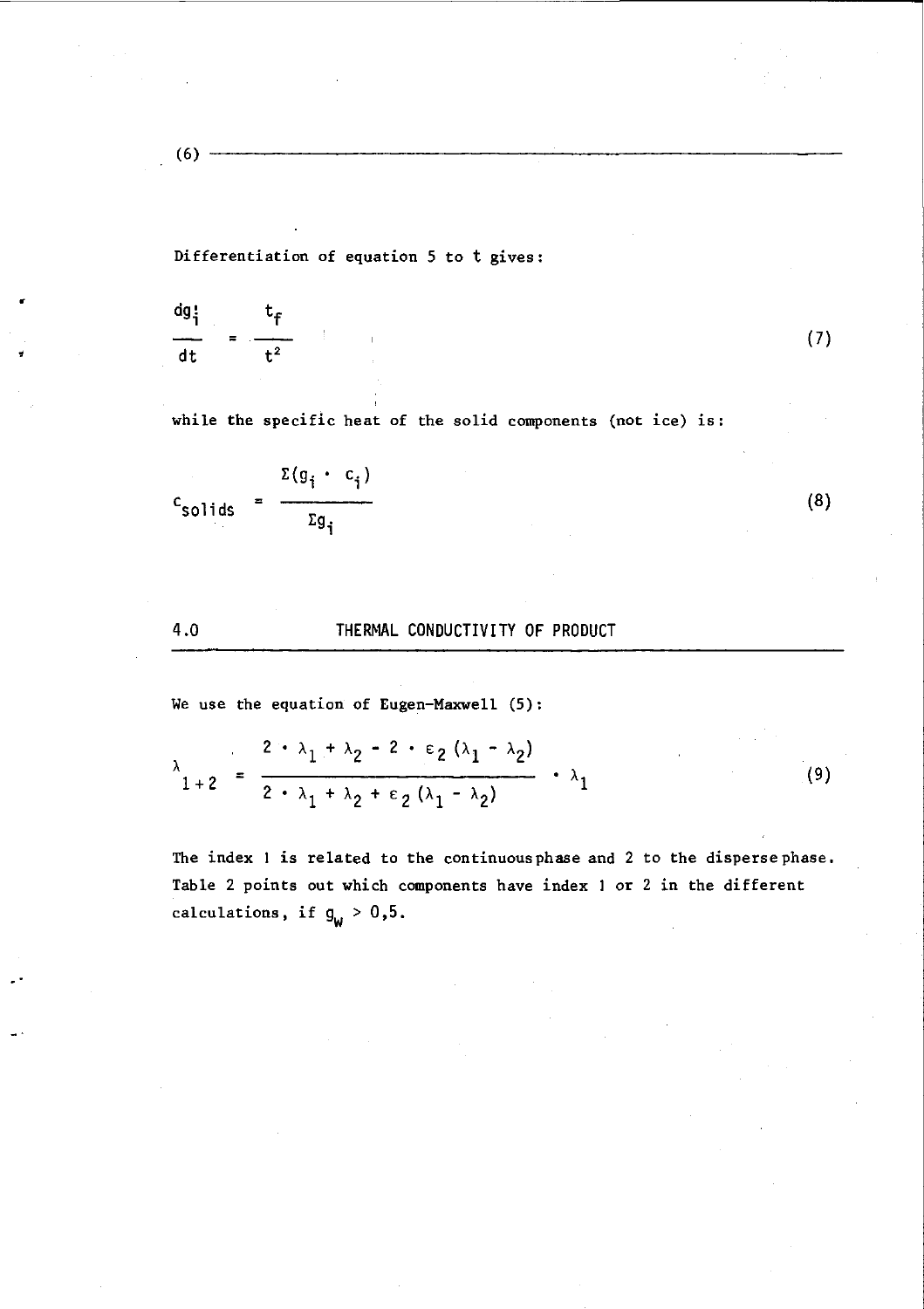(6)

Differentiation of equation 5 to t gives:

$$
\frac{dg_1^1}{dt} = \frac{t_f}{t^2}
$$

while the specific heat of the solid components (not ice) is :

 $(7)$ 

$$
c_{\text{solids}} = \frac{\Sigma(g_i \cdot c_i)}{\Sigma g_i}
$$

4.0 THERMAL CONDUCTIVITY OF PRODUCT

We use the equation of Eugen-Maxwell (5):

$$
\lambda_{1+2} = \frac{2 \cdot \lambda_1 + \lambda_2 - 2 \cdot \epsilon_2 (\lambda_1 - \lambda_2)}{2 \cdot \lambda_1 + \lambda_2 + \epsilon_2 (\lambda_1 - \lambda_2)} \cdot \lambda_1 \tag{9}
$$

The index 1 is related to the continuous phase and 2 to the disperse phase. Table 2 points out which components have index 1 or 2 in the different calculations, if  $g_W > 0,5$ .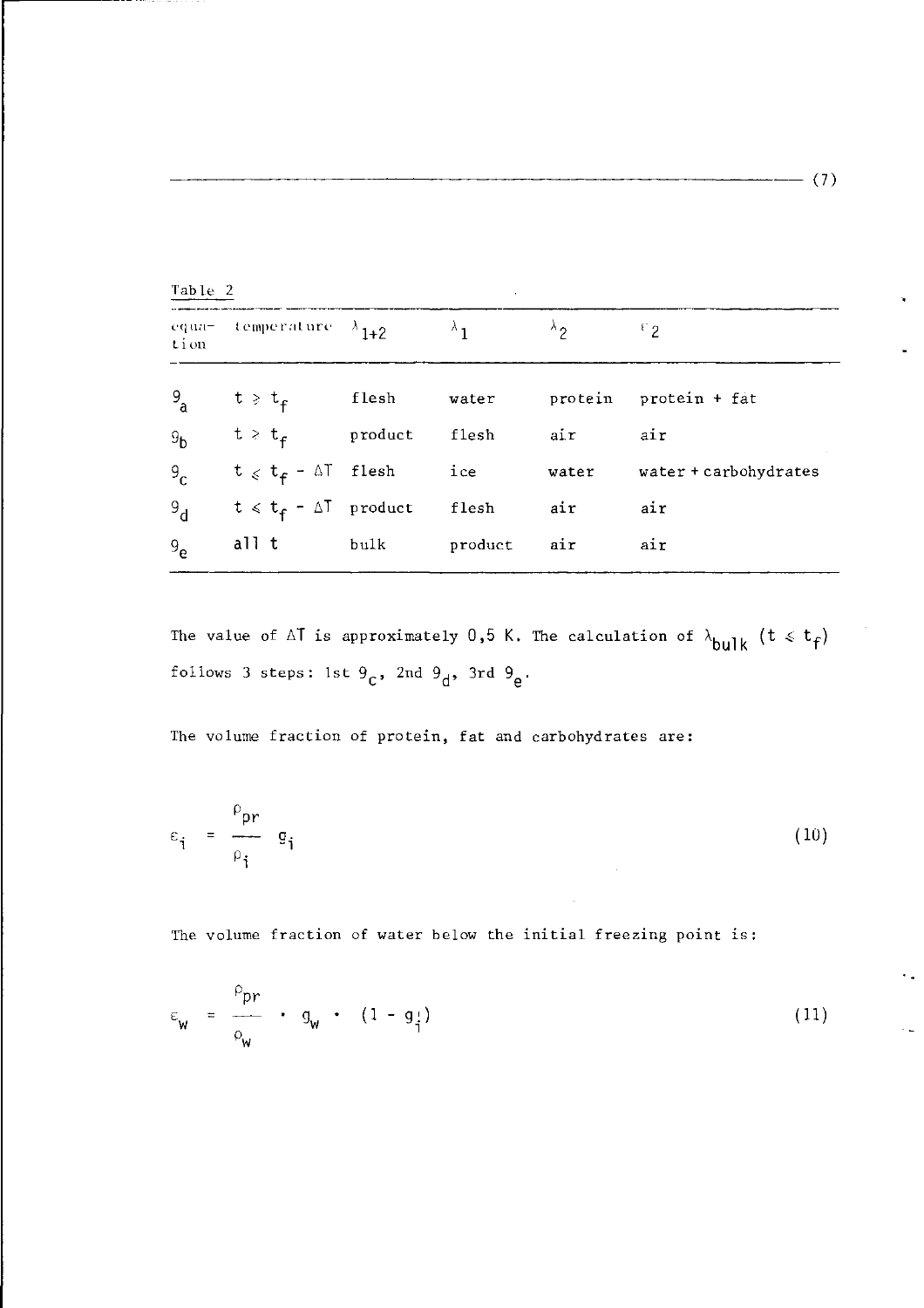| Table 2        |                                 |         |         |                        |                       |
|----------------|---------------------------------|---------|---------|------------------------|-----------------------|
| equa-<br>tion  | temperature $\lambda_{1+2}$     |         |         | $\lambda$ <sub>2</sub> | ${}^{c}2$             |
| 9a             | $t \geqslant t_{f}$             | flesh   | water   | protein                | protein + fat         |
| 9 <sub>b</sub> | $t > t_{\texttt{f}}$            | product | flesh   | air                    | air                   |
| 9 <sub>c</sub> | $t \leq t_f - \Delta T$ flesh   |         | ice     | water                  | water + carbohydrates |
| 9 <sub>d</sub> | $t \leq t_f - \Delta T$ product |         | flesh   | air                    | air                   |
| $9_{\rho}$     | all t                           | bulk    | product | air                    | air                   |

The value of  $\Delta T$  is approximately 0,5 K. The calculation of  $\lambda_{bulk}$  (t  $\leq t_f$ ) follows 3 steps: 1st  $9<sub>c</sub>$ , 2nd  $9<sub>d</sub>$ , 3rd **c** d e

The volume fraction of protein, fat and carbohydrates are:

$$
\varepsilon_{\mathbf{i}} = \frac{\rho_{\mathbf{pr}}}{\rho_{\mathbf{i}}} \quad \mathbf{g}_{\mathbf{i}} \tag{10}
$$

The volume fraction of water below the initial freezing point is :

$$
\varepsilon_{w} = \frac{\rho_{pr}}{\rho_{w}} \cdot g_{w} \cdot (1 - g_{\frac{1}{i}})
$$
 (11)

**(7)**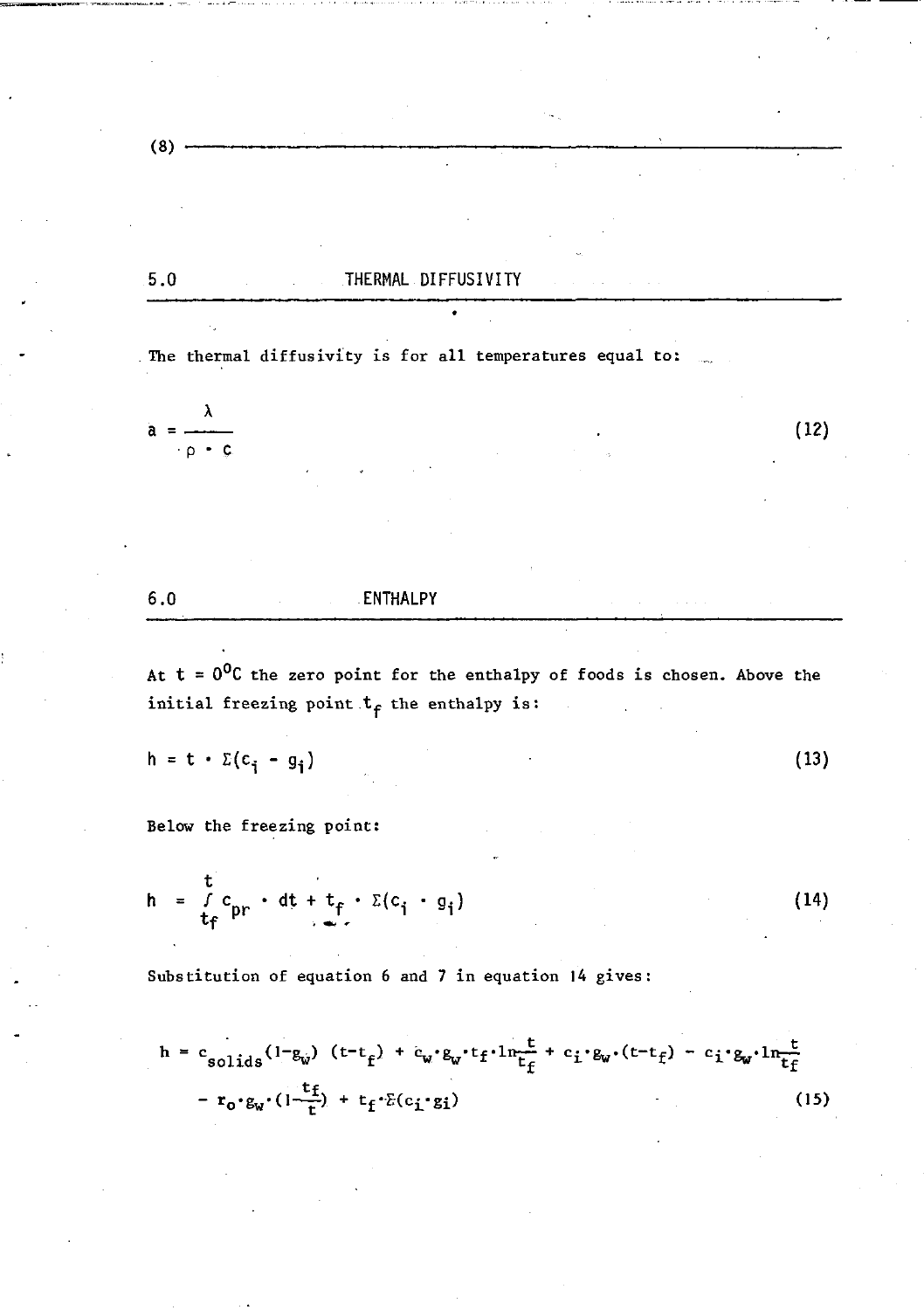.5.0 THERMAL DIFFUSIVITY

The thermal diffusivity is for all temperatures equal to:

 $\lambda$  $a =$  . (1  $p \cdot c$ 

6.0 ENTHALPY

At  $t = 0$ <sup>O</sup>C the zero point for the enthalpy of foods is chosen. Above the initial freezing point  $t_f$  the enthalpy is:

$$
h = t \cdot \Sigma(c_i - g_i)
$$
 (13)

Below the freezing point:

$$
h = \frac{t}{t_f} c_{pr} \cdot dt + t_f \cdot \Sigma(c_i \cdot g_i)
$$
 (14)

Substitution of equation 6 and 7 in equation 14 gives:

$$
h = c_{solids}(1-g_w) (t-t_f) + c_w \cdot g_w \cdot t_f \cdot 1n \frac{t}{t_f} + c_i \cdot g_w \cdot (t-t_f) - c_i \cdot g_w \cdot 1n \frac{t}{t_f}
$$
  
-  $r_0 \cdot g_w \cdot (1-\frac{t_f}{t}) + t_f \cdot \tilde{c}(c_i \cdot g_i)$  (15)

 $(8)$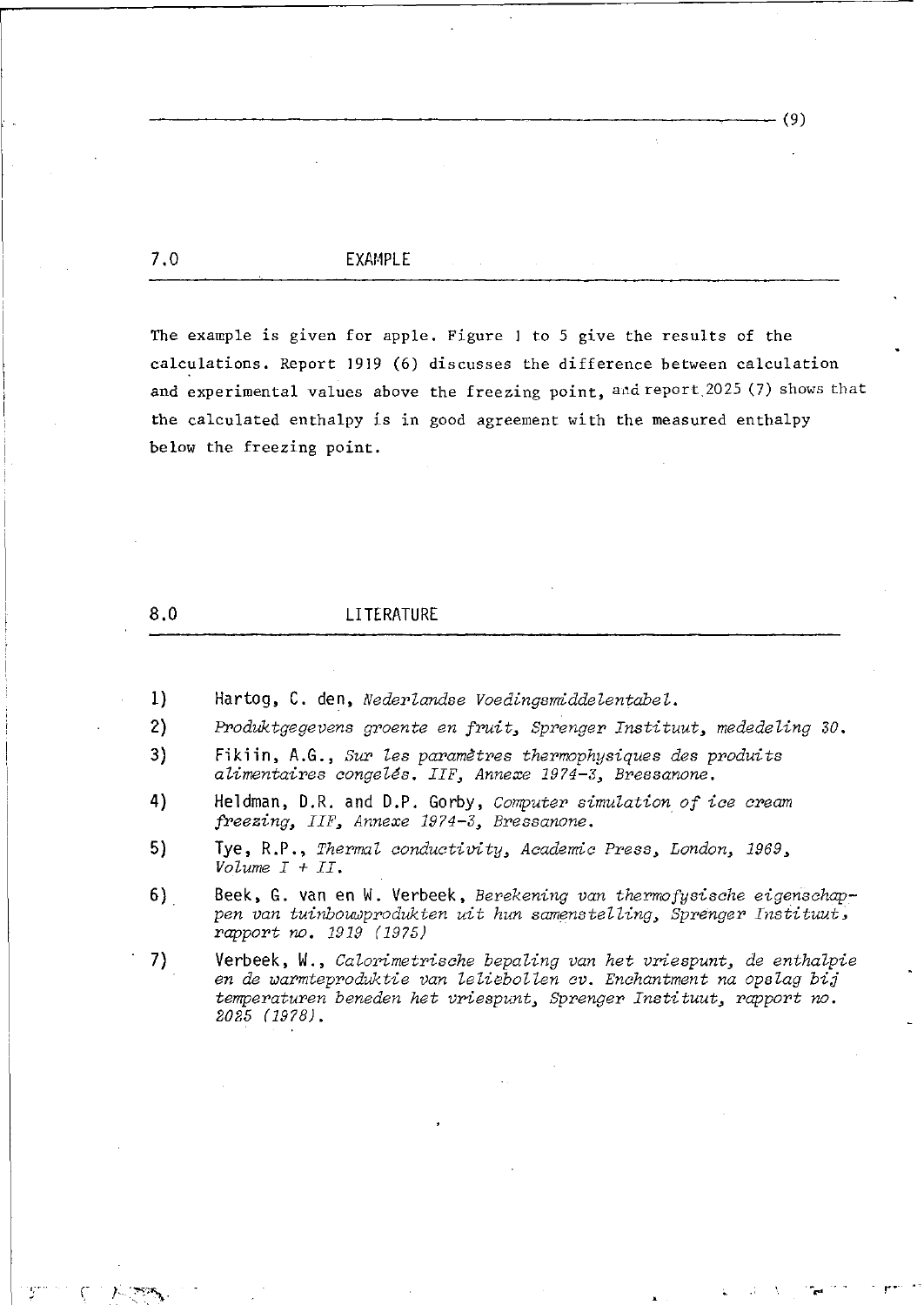7.0 EXAMPLE

The example is given for apple. Figure 1 to 5 give the results of the calculations. Report 1919 (6) discusses the difference between calculation and experimental values above the freezing point, and report. 2025 (7) shows that the calculated enthalpy is in good agreement with the measured enthalpy below the freezing point.

(9)

 $\lambda \in \mathbb{R}^N$ 

### 8.0 LITERATURE

- 1) **Har tog,** C. **den,** *Nederlandse Voedingsmiddelentabel.*
- *2) Produktgegevens groente en fruit, Sprenger Instituut, mededeling 30.*
- 3) Fikiin, A.G., *Sur les paramètres thermophysiques des produits alimentaires congelés. IIF, Annexe 1974-3, Bressanone.*
- **4) Heldman, D.R. and D.P. Gorby,** *Computer simulation of ice cream freezing, IIF3 Annexe 1974-3, Bressanone.*
- 5) Tye, R.P., *Thermal conductivity, Academic Press, London, 1969, Volume I + II.*
- **6) Beek, G. van en W. Verbeek,** *Berekening van thermofysische eigenschappen van tuinbouwprodukten uit hun samenstelling, Sprenger Instituut, rapport no. 1919 (1975)*
- 7) Verbeek, W., *Calorimetrische bepaling van het vriespunt*, de enthalpie *en de warmteproduktie van leliebollen cv. Enchantment na opslag bis temperaturen beneden het vriespunt, Sprenger Instituut, rapport no. 2025 (1978).*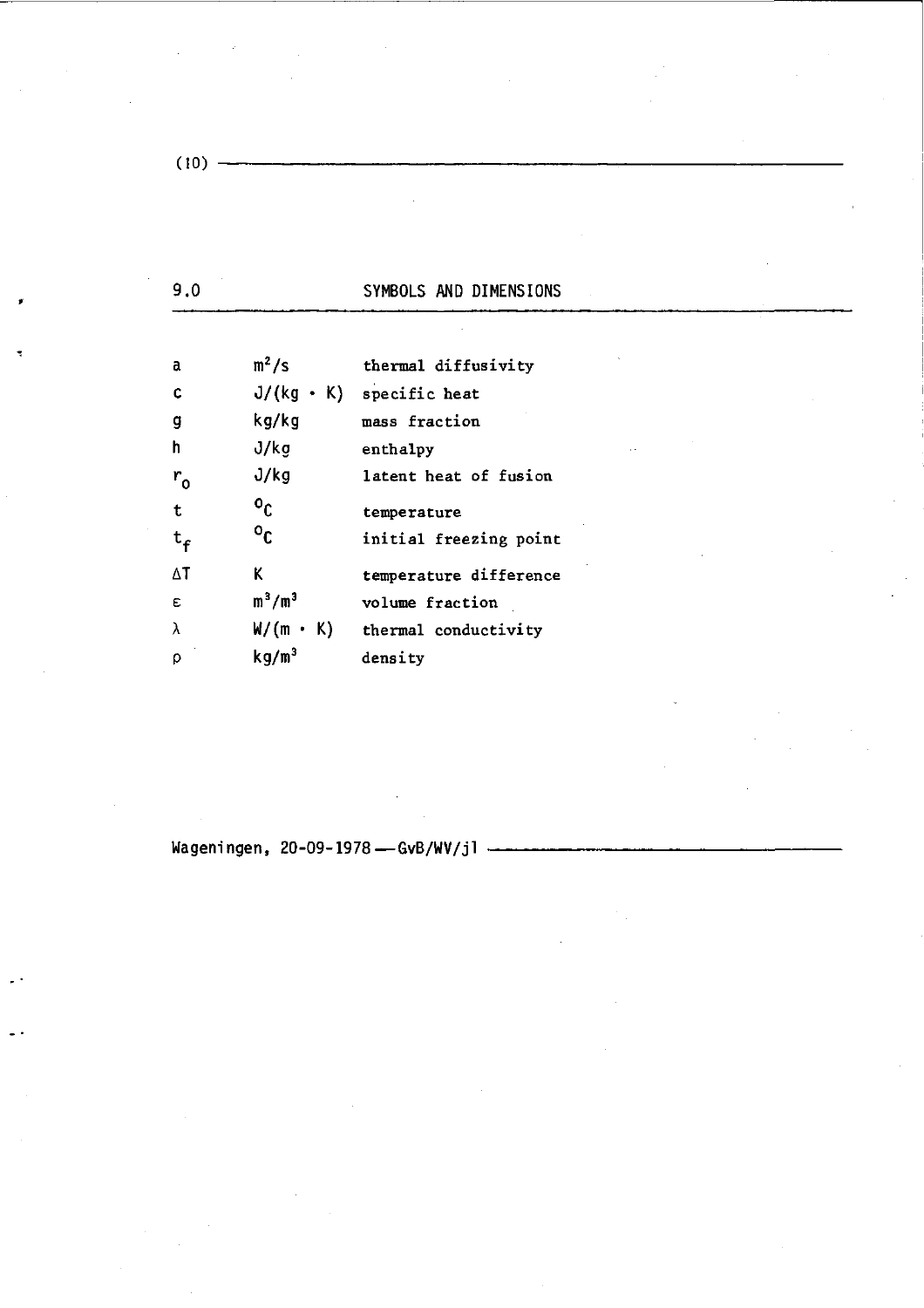|--|--|--|--|--|

 $\ddot{\phantom{a}}$ 

| a                | $m^2/s$                   | thermal diffusivity                  |
|------------------|---------------------------|--------------------------------------|
| C                |                           | $J/(kg + K)$ specific heat           |
| g                | kg/kg                     | mass fraction                        |
| h                | J/kg                      | enthalpy                             |
| $r_{o}$          | J/kg                      | latent heat of fusion                |
| $\mathbf t$      | $\mathbf{0}_{\mathsf{C}}$ | temperature                          |
| $t_{\mathsf{f}}$ | $\mathfrak{o}_\mathbb{C}$ | initial freezing point               |
| ΔT               | K                         | temperature difference               |
| E                | $m^3/m^3$                 | volume fraction                      |
| λ                |                           | $W/(m \cdot K)$ thermal conductivity |
| ρ                | kg/m <sup>3</sup>         | density                              |
|                  |                           |                                      |

**Wageni ngen, 20-09-1978 — GvB/WV/j1**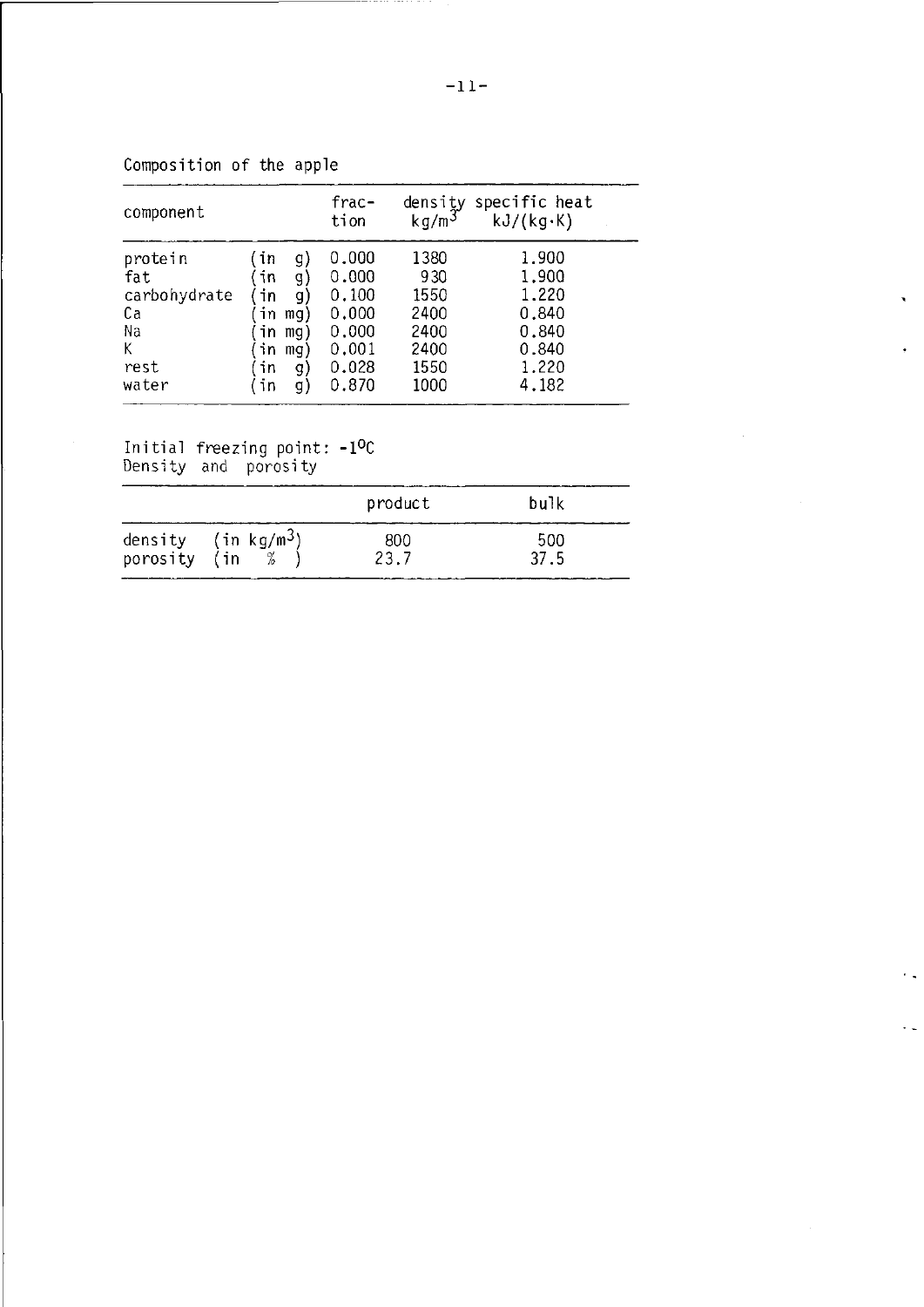| component    |     |     | frac-<br>tion | kg/m <sup>3</sup> | density specific heat<br>kJ/(kg·K) |
|--------------|-----|-----|---------------|-------------------|------------------------------------|
| protein      | (in | g)  | 0.000         | 1380              | 1,900                              |
| fat          | in  | g)  | 0.000         | 930               | 1,900                              |
| carbohydrate | īn  | g)  | 0.100         | 1550              | 1.220                              |
| Сa           | in  | mg) | 0,000         | 2400              | 0.840                              |
| Na           | in  | mg) | 0.000         | 2400              | 0.840                              |
| К            | in  | mg) | 0.001         | 2400              | 0.840                              |
| rest         | in  | g)  | 0.028         | 1550              | 1.220                              |
| water        | īn  | g)  | 0.870         | 1000              | 4.182                              |

------

Composition of the apple

Initial freezing poin Density and porosi -1°C

 $\sim$ 

|              |                                 | product     | bulk        |
|--------------|---------------------------------|-------------|-------------|
| porosity (in | density (in kg/m <sup>3</sup> ) | 800<br>23.7 | 500<br>37.5 |

 $\bullet$ 

 $\ddot{\phantom{0}}$  .

 $\ddot{\phantom{1}}$  .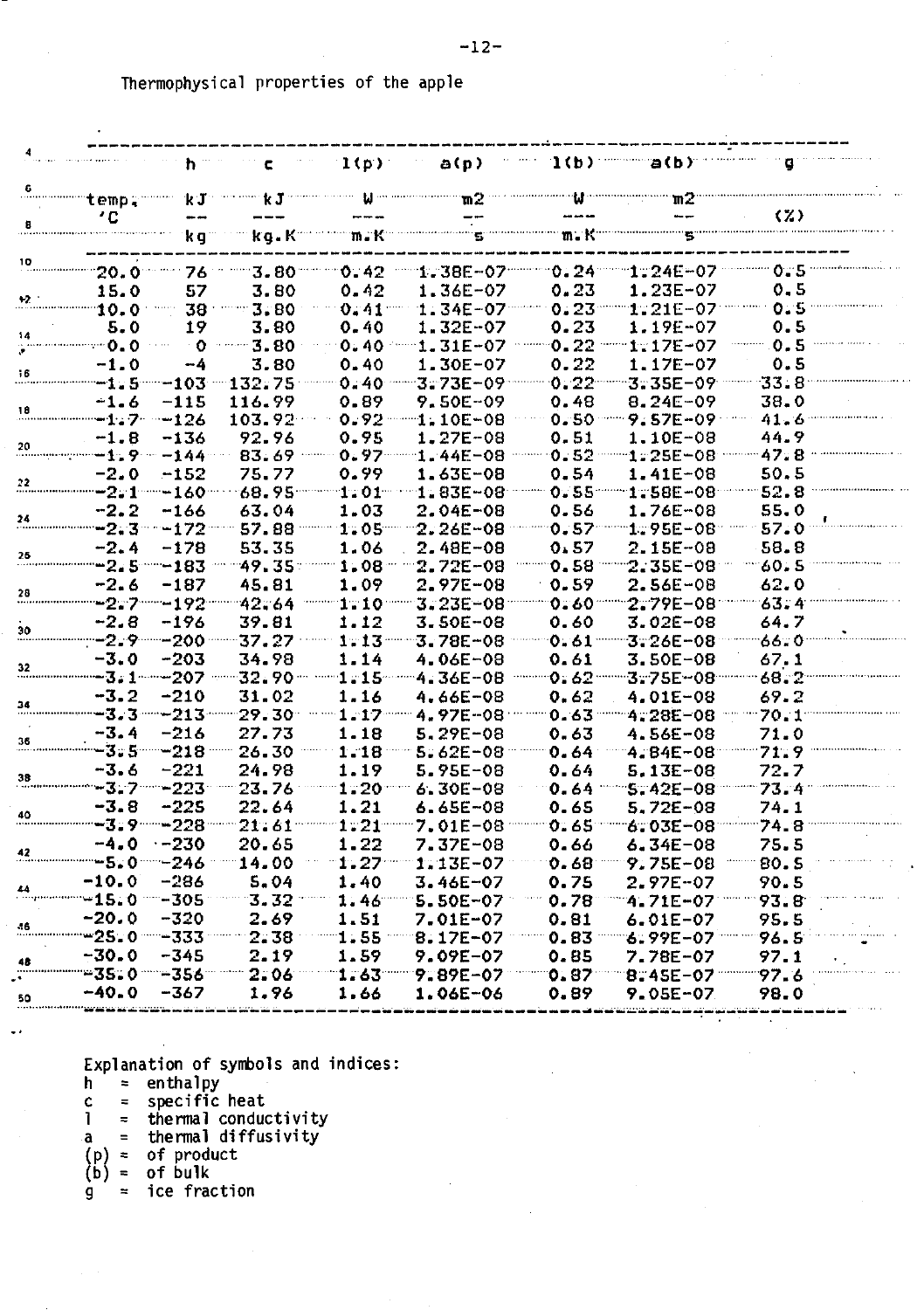|              |                                       |                                  | 1(p)                  | a(p)                                                                  |                | 1(b) a(b)                                                     |                     |
|--------------|---------------------------------------|----------------------------------|-----------------------|-----------------------------------------------------------------------|----------------|---------------------------------------------------------------|---------------------|
| temp.        | $\mathbf k$ $\mathbf J$               | k J -                            |                       | ™2                                                                    |                | m2                                                            |                     |
| ′C           |                                       |                                  |                       |                                                                       |                |                                                               | $\langle 7 \rangle$ |
|              | kg≅                                   | $kg$ . $K^{\cdots}$              |                       | maKu umumum                                                           | m. K           |                                                               |                     |
| 20.0         | 76                                    | 3.80                             | 0.42                  | $1.38E - 07$                                                          |                | "0.24" 1.24E-07                                               | 0.5                 |
| 15.0         | 57                                    | 3.80                             | 0.42                  | 1.36E-07                                                              | 0.23           | 1.23E-07                                                      | 0.5                 |
| 10.0         | 38                                    | $-3.80$                          | $0.41$ $-$            | $1.34E - 07$                                                          | 0.23           | $1:21E-07$                                                    | 0.5                 |
| 5.0          | 19                                    | 3.80                             | 0.40                  | $1.32E - 07$                                                          | 0.23           | 1.19E-07                                                      | 0.5                 |
| - 0.0        | ு⊙                                    | $--3.80$                         | 0.40                  | $1.31E - 07$                                                          | $0.22$         | $1.17E - 07$                                                  | 0.5                 |
| $-1.0$       | --4                                   | 3.80                             | 0.40                  | $1.30E - 07$                                                          | 0.22           | 1.17E-07                                                      | 0.5                 |
| $-1.5 - 103$ |                                       | $-132.75$                        | 0.40                  | $3.73E - 09$                                                          | $0.22$ –       | $3.35E - 09$                                                  | 33.8                |
| -1.6         | $-115$                                | 116.99                           | 0.89                  | 9.50E-09                                                              | 0.48           | $8.24E - 09$                                                  | 38.0                |
| -1.7 -126    |                                       | 103.92                           |                       | $0.92$ $-1.10E-08$                                                    |                | $0.50$ $9.57E - 09$                                           | 41.6                |
| $-1.8$       | $-136$                                | 92.96                            | 0.95                  | 1.27E-08                                                              | 0.51           | $1.10E - 08$                                                  | 44.9                |
|              | <b>−1.9…−144…</b> …                   | 83.69 -------                    | $0.97$                | $1.44E - 08$                                                          |                | $0.52 \dots 1.25E - 08$                                       | 47.8                |
| $-2.0$       | $-152$                                | 75.77                            | 0.99                  | 1.63E-08                                                              | 0.54           | $1.41E - 08$                                                  | 50.5                |
|              | $-2.1 - 160$                          | $68.95$                          | $-1.201$ and $-1.201$ | $1.83E - 08$                                                          |                | 0.55 - 1.58E-08                                               | 52.8                |
| $-2.2$       | $-166$                                | 63.04                            | 1.03                  | $2.04E - 08$                                                          | 0.56           | 1.76E-08                                                      | 55.0                |
|              | <b>−2.3 − −172 −−</b>                 | 57.88                            | 1:05                  | $2.26E - 08$                                                          |                | $0.57$ $1.95E-08$                                             | 57.0                |
| $-2.4$       | $-178$                                | 53.35                            | 1.06                  | $2.48E - 08$                                                          | 0.57           | $2.15E-08$                                                    | 58.8                |
|              | -2.5 - 183                            | 49.35.                           | 1.08                  | $2.72E - 08$                                                          |                | $0.58$ $2.35E - 08$                                           | 60.5                |
| -2.6         | -187                                  | 45.81                            | 1.09                  | 2.97E-08                                                              | 0.59           | $2.56E - 08$                                                  | 62.0                |
|              | <del>፡፡ 2. 7 ······ 192 ··</del> ···· | 42.64                            |                       | $3.23E - 08$                                                          | $0.60^{\circ}$ | 2.79E-08                                                      | 63.4                |
| $-2.8$       | -196                                  | 39.81                            | 1.12                  | 3.50E-08                                                              | 0.60           | $3.02E - 08$                                                  | 64.7                |
|              |                                       | -2.9-----200-----37.27           | $1 - 13$              | $3.78E - 08$                                                          |                | $0.61$ $-3.26E-08$                                            | 66.0                |
| $-3.0$       | -203                                  | 34.98                            | 1.14                  | $4.06E - 08$                                                          | 0.61           | $3.50E - 08$                                                  | 67.1                |
|              | -3.1----207                           | -32.90 -                         |                       | -1.15--- 4.36E-08                                                     |                | 0.62 3.75E-08                                                 | $68.2^{\circ}$      |
| $-3.2$       | $-210$<br>-3.3----213-----            | 31.02                            | 1.16                  | 4.66E-08                                                              | 0.62           | 4.01E-08                                                      | 69.2                |
|              | $-216$                                | -29.30-                          | $1 - 17$              | <b>4.97E-08</b>                                                       |                | $0.63$ $-4.28E-08$                                            | 70.1                |
| $-3.4$       |                                       | 27.73                            | 1.18                  | $5.29E - 08$                                                          | 0.63           | 4.56E-08                                                      | 71.0                |
| -3.6         | $-221$                                | -3.5----218 ----- 26.30<br>24.98 | $1 - 18$<br>1.19      | $5.62E - 08$                                                          | 0.64           | 4.84E-08<br>5.13E-08                                          | 71.9                |
|              |                                       | -3.7 - 223 - 23.76               | $1.20$ mm             | 5.95E-08<br>$6.30E - 08$                                              | 0.64           | $0.64$ $-.5.42E-08$                                           | 72.7                |
| -3.8         | $-225$                                | 22.64                            | 1.21                  | $6.65E - 08$                                                          | 0.65           | $5.72E - 08$                                                  | 73.4<br>74.1        |
|              |                                       |                                  |                       | -------3.9-------228------21.61----------1.21--------7.01E-08-------- |                |                                                               |                     |
| $-4.0 -230$  |                                       | 20.65                            | 1.22                  | $7.37E - 08$                                                          | 0.66           | $0.65$ $-6.03E-08$<br>$6.34E - 08$                            | 74.8<br>75.5        |
|              |                                       |                                  |                       |                                                                       |                | $-246 - 14.00 - 1.27 - 1.135 - 07 - 0.68 - 9.755 - 08 - 80.5$ |                     |
| $-10.0$      | -286                                  | 5.04                             | 1.40                  | 3.46E-07                                                              | 0.75           | 2.97E-07                                                      | 90.5                |
|              |                                       |                                  |                       |                                                                       |                |                                                               |                     |
| $-20.0$      | -320                                  | 2.69                             | 1.51                  | 7.01E-07                                                              | 0.81           | 6.01E-07                                                      | 95.5                |
|              |                                       |                                  |                       |                                                                       |                | $1.55 - 8.17E - 07 - 6.83 - 9.99E - 07 - 96.5$                |                     |
| $-30.0$      | -345                                  | 2.19                             | 1.59                  | <b>9.09E-07</b>                                                       | 0.85           | <b>7.78E-07</b>                                               | 97.1                |
|              |                                       |                                  |                       |                                                                       |                |                                                               |                     |
| $-40.0$      | -367                                  | 1.96                             | 1.66                  | $1.06E - 06$                                                          | 0.89           | 9.05E-07                                                      | 98.0                |
|              |                                       |                                  |                       |                                                                       |                |                                                               |                     |

Explanation of symbols and indice

- h = enthalpy
	- = specifi c heat
- 1 = thermal conductivity
- a = thermal diffusivity<br>of product<br>of bulk
- (P) =
- (b) =

c

g = ic e fraction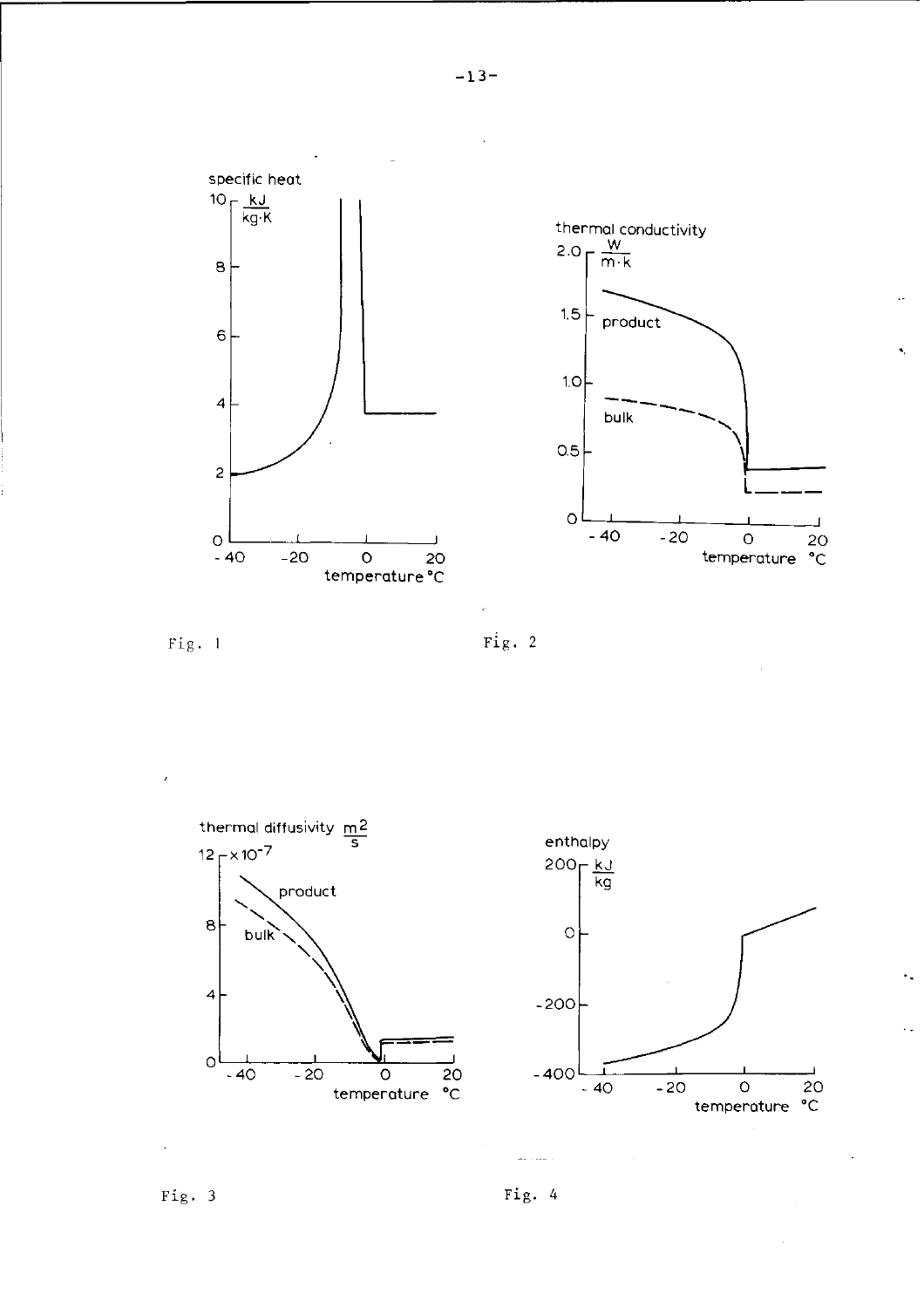







Fig. 3 Fig.  $4$